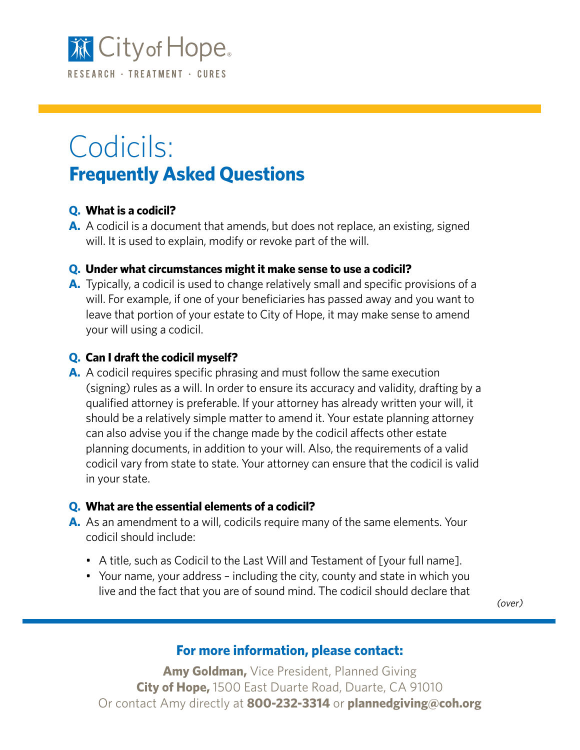

# Codicils: **Frequently Asked Questions**

### **Q. What is a codicil?**

**A.** A codicil is a document that amends, but does not replace, an existing, signed will. It is used to explain, modify or revoke part of the will.

### **Q. Under what circumstances might it make sense to use a codicil?**

**A.** Typically, a codicil is used to change relatively small and specific provisions of a will. For example, if one of your beneficiaries has passed away and you want to leave that portion of your estate to City of Hope, it may make sense to amend your will using a codicil.

### **Q. Can I draft the codicil myself?**

**A.** A codicil requires specific phrasing and must follow the same execution (signing) rules as a will. In order to ensure its accuracy and validity, drafting by a qualified attorney is preferable. If your attorney has already written your will, it should be a relatively simple matter to amend it. Your estate planning attorney can also advise you if the change made by the codicil affects other estate planning documents, in addition to your will. Also, the requirements of a valid codicil vary from state to state. Your attorney can ensure that the codicil is valid in your state.

#### **Q. What are the essential elements of a codicil?**

- **A.** As an amendment to a will, codicils require many of the same elements. Your codicil should include:
	- A title, such as Codicil to the Last Will and Testament of [your full name].
	- Your name, your address including the city, county and state in which you live and the fact that you are of sound mind. The codicil should declare that

(over)

## **For more information, please contact:**

**Amy Goldman,** Vice President, Planned Giving **City of Hope,** 1500 East Duarte Road, Duarte, CA 91010 Or contact Amy directly at **800-232-3314** or **plannedgiving@coh.org**